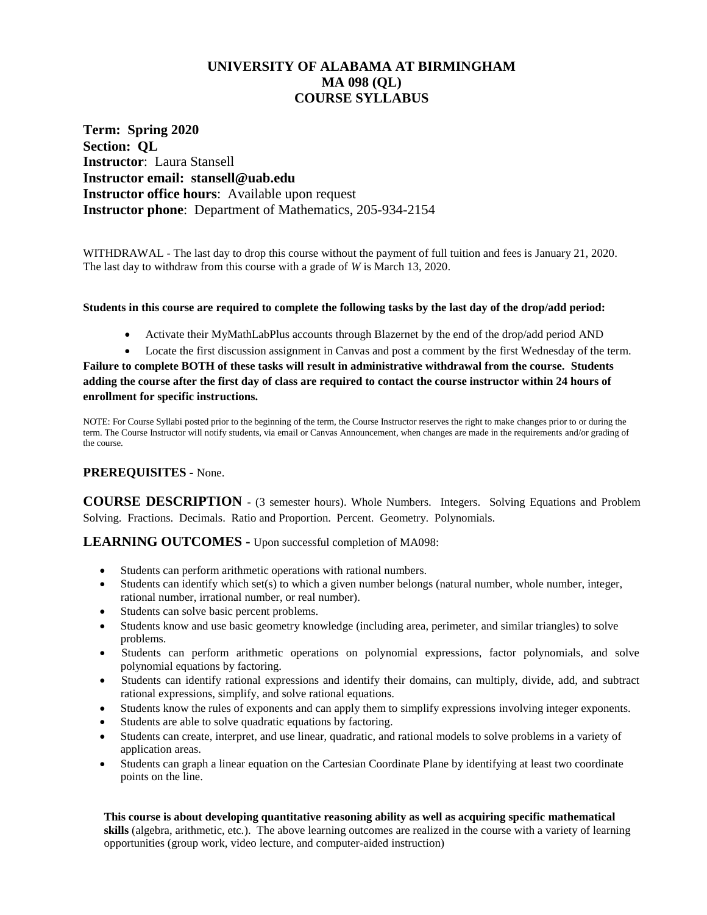# **UNIVERSITY OF ALABAMA AT BIRMINGHAM MA 098 (QL) COURSE SYLLABUS**

**Term: Spring 2020 Section: QL Instructor**: Laura Stansell **Instructor email: stansell@uab.edu Instructor office hours**: Available upon request **Instructor phone**: Department of Mathematics, 205-934-2154

WITHDRAWAL - The last day to drop this course without the payment of full tuition and fees is January 21, 2020. The last day to withdraw from this course with a grade of *W* is March 13, 2020.

#### **Students in this course are required to complete the following tasks by the last day of the drop/add period:**

- Activate their MyMathLabPlus accounts through Blazernet by the end of the drop/add period AND
- Locate the first discussion assignment in Canvas and post a comment by the first Wednesday of the term.

**Failure to complete BOTH of these tasks will result in administrative withdrawal from the course. Students adding the course after the first day of class are required to contact the course instructor within 24 hours of enrollment for specific instructions.**

NOTE: For Course Syllabi posted prior to the beginning of the term, the Course Instructor reserves the right to make changes prior to or during the term. The Course Instructor will notify students, via email or Canvas Announcement, when changes are made in the requirements and/or grading of the course.

### **PREREQUISITES -** None.

**COURSE DESCRIPTION -** (3 semester hours). Whole Numbers. Integers. Solving Equations and Problem Solving. Fractions. Decimals. Ratio and Proportion. Percent. Geometry. Polynomials.

### **LEARNING OUTCOMES -** Upon successful completion of MA098:

- Students can perform arithmetic operations with rational numbers.
- Students can identify which set(s) to which a given number belongs (natural number, whole number, integer, rational number, irrational number, or real number).
- Students can solve basic percent problems.
- Students know and use basic geometry knowledge (including area, perimeter, and similar triangles) to solve problems.
- Students can perform arithmetic operations on polynomial expressions, factor polynomials, and solve polynomial equations by factoring.
- Students can identify rational expressions and identify their domains, can multiply, divide, add, and subtract rational expressions, simplify, and solve rational equations.
- Students know the rules of exponents and can apply them to simplify expressions involving integer exponents.
- Students are able to solve quadratic equations by factoring.
- Students can create, interpret, and use linear, quadratic, and rational models to solve problems in a variety of application areas.
- Students can graph a linear equation on the Cartesian Coordinate Plane by identifying at least two coordinate points on the line.

**This course is about developing quantitative reasoning ability as well as acquiring specific mathematical skills** (algebra, arithmetic, etc.). The above learning outcomes are realized in the course with a variety of learning opportunities (group work, video lecture, and computer-aided instruction)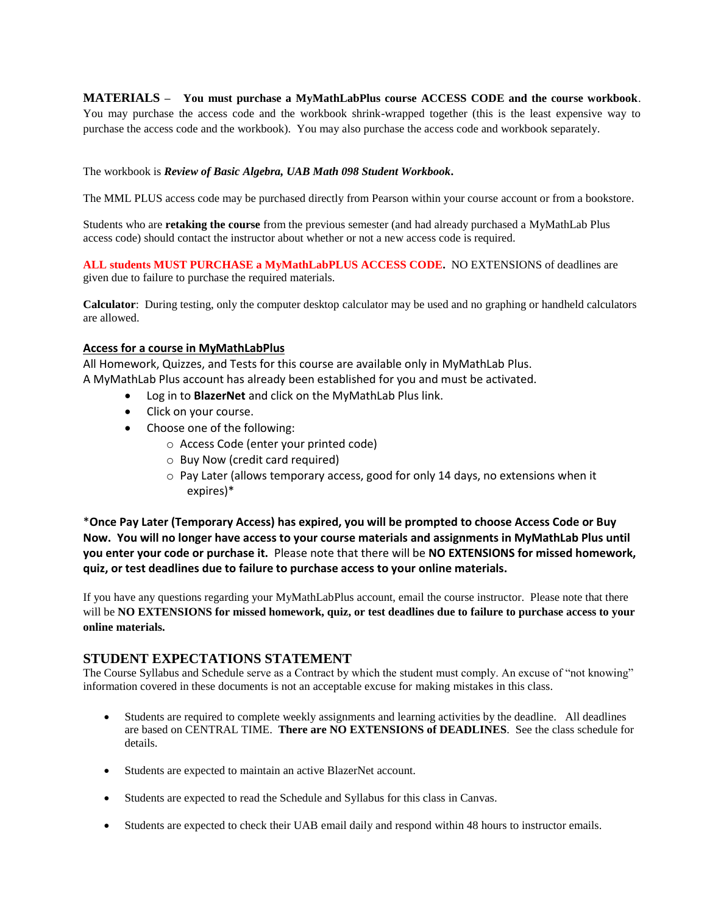**MATERIALS – You must purchase a MyMathLabPlus course ACCESS CODE and the course workbook**.

You may purchase the access code and the workbook shrink-wrapped together (this is the least expensive way to purchase the access code and the workbook). You may also purchase the access code and workbook separately.

The workbook is *Review of Basic Algebra, UAB Math 098 Student Workbook***.** 

The MML PLUS access code may be purchased directly from Pearson within your course account or from a bookstore.

Students who are **retaking the course** from the previous semester (and had already purchased a MyMathLab Plus access code) should contact the instructor about whether or not a new access code is required.

**ALL students MUST PURCHASE a MyMathLabPLUS ACCESS CODE.** NO EXTENSIONS of deadlines are given due to failure to purchase the required materials.

**Calculator**: During testing, only the computer desktop calculator may be used and no graphing or handheld calculators are allowed.

#### **Access for a course in MyMathLabPlus**

All Homework, Quizzes, and Tests for this course are available only in MyMathLab Plus. A MyMathLab Plus account has already been established for you and must be activated.

- Log in to **BlazerNet** and click on the MyMathLab Plus link.
- Click on your course.
- Choose one of the following:
	- o Access Code (enter your printed code)
	- o Buy Now (credit card required)
	- o Pay Later (allows temporary access, good for only 14 days, no extensions when it expires)\*

\***Once Pay Later (Temporary Access) has expired, you will be prompted to choose Access Code or Buy Now. You will no longer have access to your course materials and assignments in MyMathLab Plus until you enter your code or purchase it.** Please note that there will be **NO EXTENSIONS for missed homework, quiz, or test deadlines due to failure to purchase access to your online materials.**

If you have any questions regarding your MyMathLabPlus account, email the course instructor. Please note that there will be **NO EXTENSIONS for missed homework, quiz, or test deadlines due to failure to purchase access to your online materials.**

## **STUDENT EXPECTATIONS STATEMENT**

The Course Syllabus and Schedule serve as a Contract by which the student must comply. An excuse of "not knowing" information covered in these documents is not an acceptable excuse for making mistakes in this class.

- Students are required to complete weekly assignments and learning activities by the deadline. All deadlines are based on CENTRAL TIME. **There are NO EXTENSIONS of DEADLINES**. See the class schedule for details.
- Students are expected to maintain an active BlazerNet account.
- Students are expected to read the Schedule and Syllabus for this class in Canvas.
- Students are expected to check their UAB email daily and respond within 48 hours to instructor emails.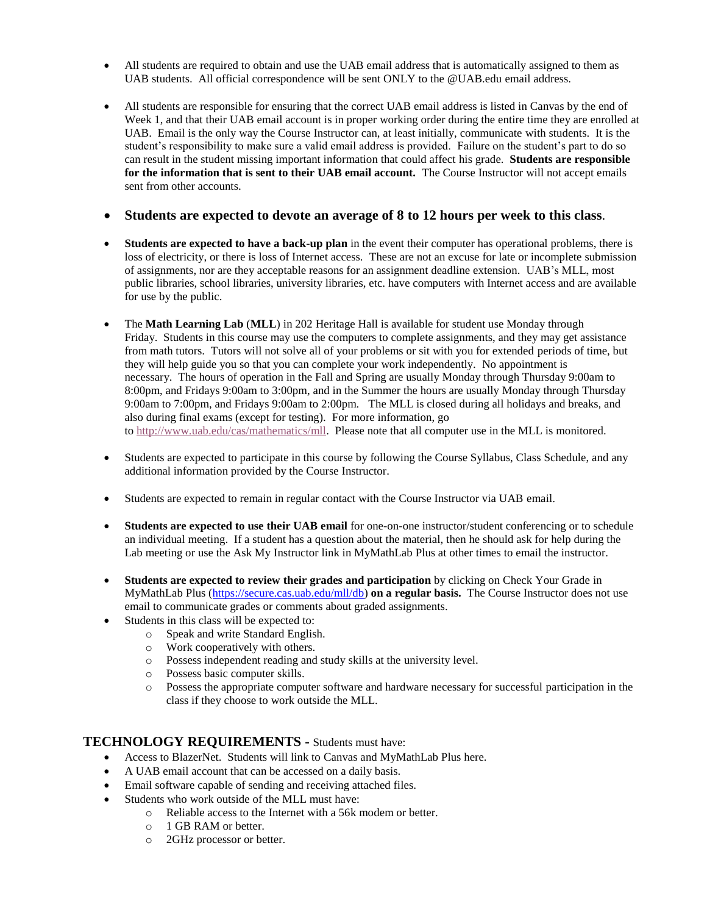- All students are required to obtain and use the UAB email address that is automatically assigned to them as UAB students. All official correspondence will be sent ONLY to the @UAB.edu email address.
- All students are responsible for ensuring that the correct UAB email address is listed in Canvas by the end of Week 1, and that their UAB email account is in proper working order during the entire time they are enrolled at UAB. Email is the only way the Course Instructor can, at least initially, communicate with students. It is the student's responsibility to make sure a valid email address is provided. Failure on the student's part to do so can result in the student missing important information that could affect his grade. **Students are responsible for the information that is sent to their UAB email account.** The Course Instructor will not accept emails sent from other accounts.

## **Students are expected to devote an average of 8 to 12 hours per week to this class**.

- **Students are expected to have a back-up plan** in the event their computer has operational problems, there is loss of electricity, or there is loss of Internet access. These are not an excuse for late or incomplete submission of assignments, nor are they acceptable reasons for an assignment deadline extension. UAB's MLL, most public libraries, school libraries, university libraries, etc. have computers with Internet access and are available for use by the public.
- The **Math Learning Lab** (**MLL**) in 202 Heritage Hall is available for student use Monday through Friday. Students in this course may use the computers to complete assignments, and they may get assistance from math tutors. Tutors will not solve all of your problems or sit with you for extended periods of time, but they will help guide you so that you can complete your work independently. No appointment is necessary. The hours of operation in the Fall and Spring are usually Monday through Thursday 9:00am to 8:00pm, and Fridays 9:00am to 3:00pm, and in the Summer the hours are usually Monday through Thursday 9:00am to 7:00pm, and Fridays 9:00am to 2:00pm. The MLL is closed during all holidays and breaks, and also during final exams (except for testing). For more information, go to [http://www.uab.edu/cas/mathematics/mll.](http://www.uab.edu/cas/mathematics/mll) Please note that all computer use in the MLL is monitored.
- Students are expected to participate in this course by following the Course Syllabus, Class Schedule, and any additional information provided by the Course Instructor.
- Students are expected to remain in regular contact with the Course Instructor via UAB email.
- **Students are expected to use their UAB email** for one-on-one instructor/student conferencing or to schedule an individual meeting. If a student has a question about the material, then he should ask for help during the Lab meeting or use the Ask My Instructor link in MyMathLab Plus at other times to email the instructor.
- **Students are expected to review their grades and participation** by clicking on Check Your Grade in MyMathLab Plus [\(https://secure.cas.uab.edu/mll/db\)](https://secure.cas.uab.edu/mll/db) **on a regular basis.** The Course Instructor does not use email to communicate grades or comments about graded assignments.
- Students in this class will be expected to:
	- o Speak and write Standard English.
	- o Work cooperatively with others.
	- o Possess independent reading and study skills at the university level.
	- o Possess basic computer skills.
	- o Possess the appropriate computer software and hardware necessary for successful participation in the class if they choose to work outside the MLL.

## **TECHNOLOGY REQUIREMENTS -** Students must have:

- Access to BlazerNet. Students will link to Canvas and MyMathLab Plus here.
- A UAB email account that can be accessed on a daily basis.
- Email software capable of sending and receiving attached files.
	- Students who work outside of the MLL must have:
		- o Reliable access to the Internet with a 56k modem or better.
			- o 1 GB RAM or better.
			- o 2GHz processor or better.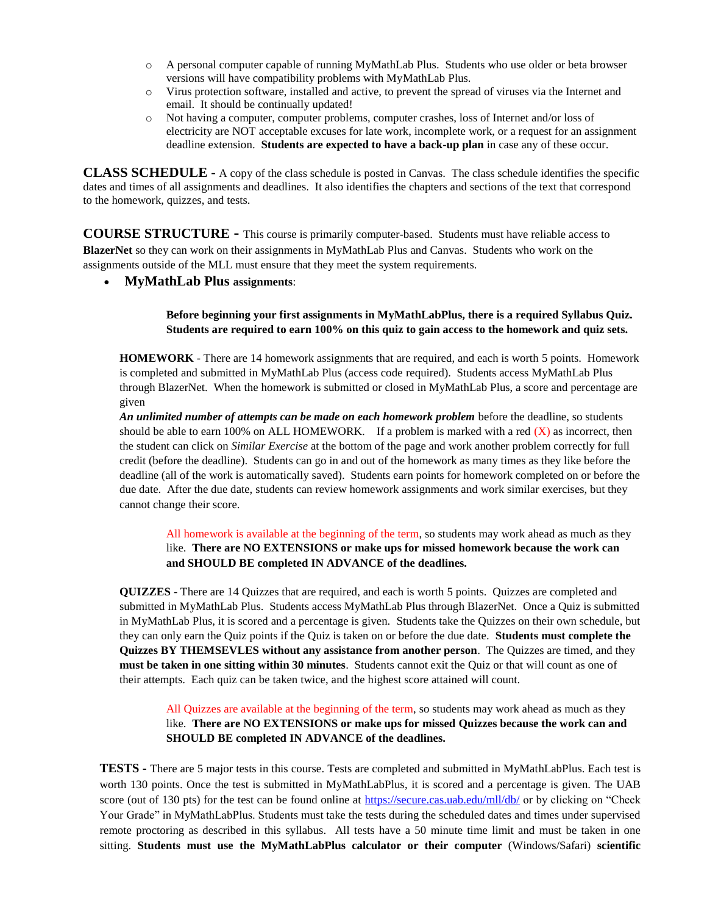- o A personal computer capable of running MyMathLab Plus. Students who use older or beta browser versions will have compatibility problems with MyMathLab Plus.
- o Virus protection software, installed and active, to prevent the spread of viruses via the Internet and email. It should be continually updated!
- o Not having a computer, computer problems, computer crashes, loss of Internet and/or loss of electricity are NOT acceptable excuses for late work, incomplete work, or a request for an assignment deadline extension. **Students are expected to have a back-up plan** in case any of these occur.

**CLASS SCHEDULE** - A copy of the class schedule is posted in Canvas. The class schedule identifies the specific dates and times of all assignments and deadlines. It also identifies the chapters and sections of the text that correspond to the homework, quizzes, and tests.

**COURSE STRUCTURE -** This course is primarily computer-based. Students must have reliable access to **BlazerNet** so they can work on their assignments in MyMathLab Plus and Canvas. Students who work on the assignments outside of the MLL must ensure that they meet the system requirements.

**MyMathLab Plus assignments**:

### **Before beginning your first assignments in MyMathLabPlus, there is a required Syllabus Quiz. Students are required to earn 100% on this quiz to gain access to the homework and quiz sets.**

**HOMEWORK** - There are 14 homework assignments that are required, and each is worth 5 points. Homework is completed and submitted in MyMathLab Plus (access code required). Students access MyMathLab Plus through BlazerNet. When the homework is submitted or closed in MyMathLab Plus, a score and percentage are given

*An unlimited number of attempts can be made on each homework problem* before the deadline, so students should be able to earn 100% on ALL HOMEWORK. If a problem is marked with a red  $(X)$  as incorrect, then the student can click on *Similar Exercise* at the bottom of the page and work another problem correctly for full credit (before the deadline). Students can go in and out of the homework as many times as they like before the deadline (all of the work is automatically saved). Students earn points for homework completed on or before the due date. After the due date, students can review homework assignments and work similar exercises, but they cannot change their score.

All homework is available at the beginning of the term, so students may work ahead as much as they like. **There are NO EXTENSIONS or make ups for missed homework because the work can and SHOULD BE completed IN ADVANCE of the deadlines.**

**QUIZZES** - There are 14 Quizzes that are required, and each is worth 5 points. Quizzes are completed and submitted in MyMathLab Plus. Students access MyMathLab Plus through BlazerNet. Once a Quiz is submitted in MyMathLab Plus, it is scored and a percentage is given. Students take the Quizzes on their own schedule, but they can only earn the Quiz points if the Quiz is taken on or before the due date. **Students must complete the Quizzes BY THEMSEVLES without any assistance from another person**. The Quizzes are timed, and they **must be taken in one sitting within 30 minutes**. Students cannot exit the Quiz or that will count as one of their attempts. Each quiz can be taken twice, and the highest score attained will count.

All Quizzes are available at the beginning of the term, so students may work ahead as much as they like. **There are NO EXTENSIONS or make ups for missed Quizzes because the work can and SHOULD BE completed IN ADVANCE of the deadlines.**

**TESTS -** There are 5 major tests in this course. Tests are completed and submitted in MyMathLabPlus. Each test is worth 130 points. Once the test is submitted in MyMathLabPlus, it is scored and a percentage is given. The UAB score (out of 130 pts) for the test can be found online at<https://secure.cas.uab.edu/mll/db/> or by clicking on "Check" Your Grade" in MyMathLabPlus. Students must take the tests during the scheduled dates and times under supervised remote proctoring as described in this syllabus. All tests have a 50 minute time limit and must be taken in one sitting. **Students must use the MyMathLabPlus calculator or their computer** (Windows/Safari) **scientific**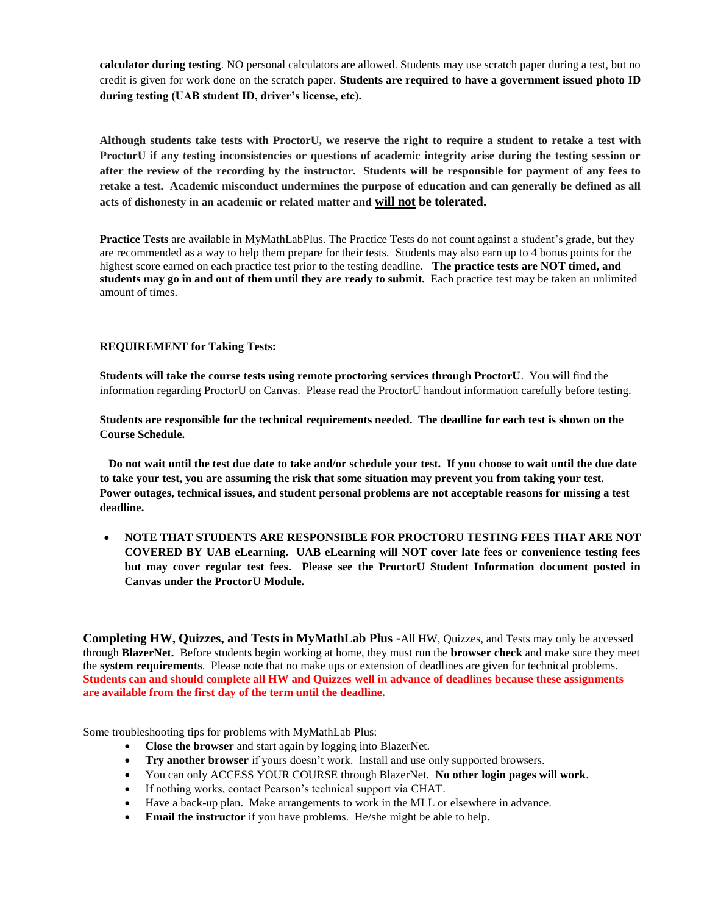**calculator during testing**. NO personal calculators are allowed. Students may use scratch paper during a test, but no credit is given for work done on the scratch paper. **Students are required to have a government issued photo ID during testing (UAB student ID, driver's license, etc).**

**Although students take tests with ProctorU, we reserve the right to require a student to retake a test with ProctorU if any testing inconsistencies or questions of academic integrity arise during the testing session or after the review of the recording by the instructor. Students will be responsible for payment of any fees to retake a test. Academic misconduct undermines the purpose of education and can generally be defined as all acts of dishonesty in an academic or related matter and will not be tolerated.**

**Practice Tests** are available in MyMathLabPlus. The Practice Tests do not count against a student's grade, but they are recommended as a way to help them prepare for their tests. Students may also earn up to 4 bonus points for the highest score earned on each practice test prior to the testing deadline. **The practice tests are NOT timed, and students may go in and out of them until they are ready to submit.** Each practice test may be taken an unlimited amount of times.

### **REQUIREMENT for Taking Tests:**

**Students will take the course tests using remote proctoring services through ProctorU**. You will find the information regarding ProctorU on Canvas. Please read the ProctorU handout information carefully before testing.

**Students are responsible for the technical requirements needed. The deadline for each test is shown on the Course Schedule.**

 **Do not wait until the test due date to take and/or schedule your test. If you choose to wait until the due date to take your test, you are assuming the risk that some situation may prevent you from taking your test. Power outages, technical issues, and student personal problems are not acceptable reasons for missing a test deadline.**

 **NOTE THAT STUDENTS ARE RESPONSIBLE FOR PROCTORU TESTING FEES THAT ARE NOT COVERED BY UAB eLearning. UAB eLearning will NOT cover late fees or convenience testing fees but may cover regular test fees. Please see the ProctorU Student Information document posted in Canvas under the ProctorU Module.**

**Completing HW, Quizzes, and Tests in MyMathLab Plus -**All HW, Quizzes, and Tests may only be accessed through **BlazerNet.** Before students begin working at home, they must run the **browser check** and make sure they meet the **system requirements**. Please note that no make ups or extension of deadlines are given for technical problems. **Students can and should complete all HW and Quizzes well in advance of deadlines because these assignments are available from the first day of the term until the deadline.**

Some troubleshooting tips for problems with MyMathLab Plus:

- **Close the browser** and start again by logging into BlazerNet.
- **Try another browser** if yours doesn't work. Install and use only supported browsers.
- You can only ACCESS YOUR COURSE through BlazerNet. **No other login pages will work**.
- If nothing works, contact Pearson's technical support via CHAT.
- Have a back-up plan. Make arrangements to work in the MLL or elsewhere in advance.
- **Email the instructor** if you have problems. He/she might be able to help.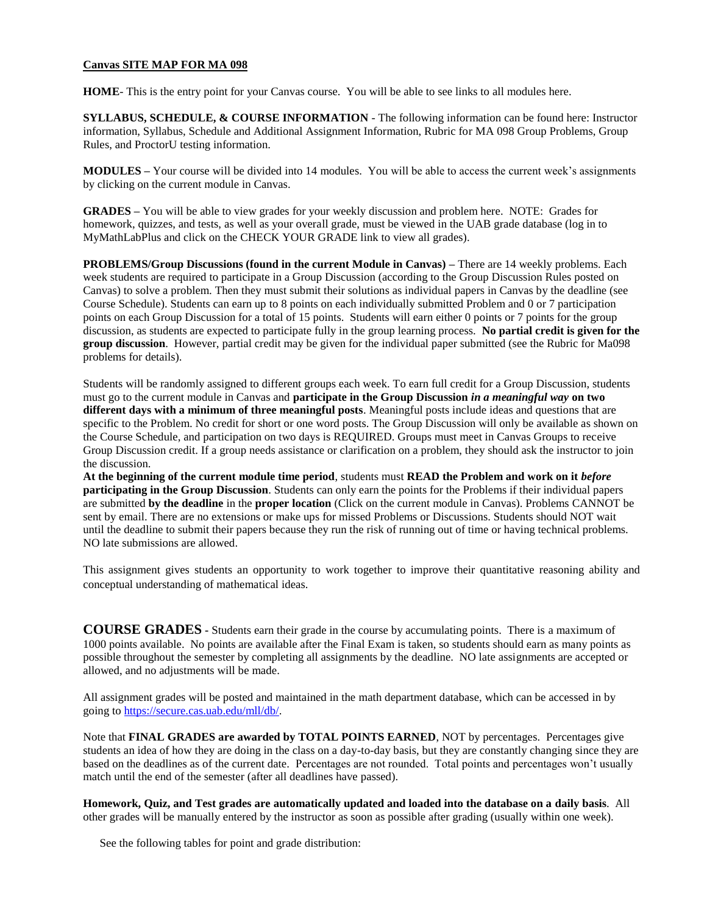#### **Canvas SITE MAP FOR MA 098**

**HOME**- This is the entry point for your Canvas course. You will be able to see links to all modules here.

**SYLLABUS, SCHEDULE, & COURSE INFORMATION** - The following information can be found here: Instructor information, Syllabus, Schedule and Additional Assignment Information, Rubric for MA 098 Group Problems, Group Rules, and ProctorU testing information.

**MODULES –** Your course will be divided into 14 modules. You will be able to access the current week's assignments by clicking on the current module in Canvas.

**GRADES –** You will be able to view grades for your weekly discussion and problem here. NOTE: Grades for homework, quizzes, and tests, as well as your overall grade, must be viewed in the UAB grade database (log in to MyMathLabPlus and click on the CHECK YOUR GRADE link to view all grades).

**PROBLEMS/Group Discussions (found in the current Module in Canvas) –** There are 14 weekly problems. Each week students are required to participate in a Group Discussion (according to the Group Discussion Rules posted on Canvas) to solve a problem. Then they must submit their solutions as individual papers in Canvas by the deadline (see Course Schedule). Students can earn up to 8 points on each individually submitted Problem and 0 or 7 participation points on each Group Discussion for a total of 15 points. Students will earn either 0 points or 7 points for the group discussion, as students are expected to participate fully in the group learning process. **No partial credit is given for the group discussion**. However, partial credit may be given for the individual paper submitted (see the Rubric for Ma098 problems for details).

Students will be randomly assigned to different groups each week. To earn full credit for a Group Discussion, students must go to the current module in Canvas and **participate in the Group Discussion** *in a meaningful way* **on two different days with a minimum of three meaningful posts**. Meaningful posts include ideas and questions that are specific to the Problem. No credit for short or one word posts. The Group Discussion will only be available as shown on the Course Schedule, and participation on two days is REQUIRED. Groups must meet in Canvas Groups to receive Group Discussion credit. If a group needs assistance or clarification on a problem, they should ask the instructor to join the discussion.

**At the beginning of the current module time period**, students must **READ the Problem and work on it** *before*  **participating in the Group Discussion**. Students can only earn the points for the Problems if their individual papers are submitted **by the deadline** in the **proper location** (Click on the current module in Canvas). Problems CANNOT be sent by email. There are no extensions or make ups for missed Problems or Discussions. Students should NOT wait until the deadline to submit their papers because they run the risk of running out of time or having technical problems. NO late submissions are allowed.

This assignment gives students an opportunity to work together to improve their quantitative reasoning ability and conceptual understanding of mathematical ideas.

**COURSE GRADES -** Students earn their grade in the course by accumulating points. There is a maximum of 1000 points available. No points are available after the Final Exam is taken, so students should earn as many points as possible throughout the semester by completing all assignments by the deadline. NO late assignments are accepted or allowed, and no adjustments will be made.

All assignment grades will be posted and maintained in the math department database, which can be accessed in by going to [https://secure.cas.uab.edu/mll/db/.](https://secure.cas.uab.edu/mll/db/)

Note that **FINAL GRADES are awarded by TOTAL POINTS EARNED**, NOT by percentages. Percentages give students an idea of how they are doing in the class on a day-to-day basis, but they are constantly changing since they are based on the deadlines as of the current date. Percentages are not rounded. Total points and percentages won't usually match until the end of the semester (after all deadlines have passed).

**Homework, Quiz, and Test grades are automatically updated and loaded into the database on a daily basis**. All other grades will be manually entered by the instructor as soon as possible after grading (usually within one week).

See the following tables for point and grade distribution: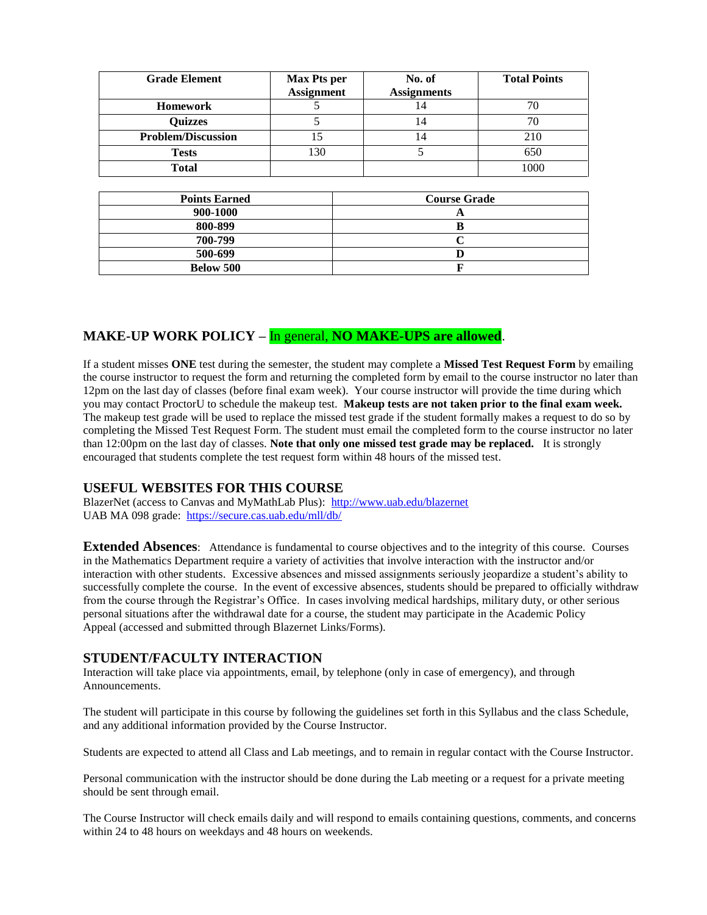| <b>Grade Element</b>      | <b>Max Pts per</b><br><b>Assignment</b> | No. of<br><b>Assignments</b> | <b>Total Points</b> |
|---------------------------|-----------------------------------------|------------------------------|---------------------|
| <b>Homework</b>           |                                         | 14                           |                     |
| <b>Quizzes</b>            |                                         | l 4                          | 70                  |
| <b>Problem/Discussion</b> |                                         | 14                           | 210                 |
| <b>Tests</b>              | 130                                     |                              | 650                 |
| <b>Total</b>              |                                         |                              | 1000                |

| <b>Points Earned</b> | <b>Course Grade</b> |  |
|----------------------|---------------------|--|
| 900-1000             |                     |  |
| 800-899              |                     |  |
| 700-799              |                     |  |
| 500-699              |                     |  |
| Below 500            |                     |  |

# **MAKE-UP WORK POLICY –** In general, **NO MAKE-UPS are allowed**.

If a student misses **ONE** test during the semester, the student may complete a **Missed Test Request Form** by emailing the course instructor to request the form and returning the completed form by email to the course instructor no later than 12pm on the last day of classes (before final exam week). Your course instructor will provide the time during which you may contact ProctorU to schedule the makeup test. **Makeup tests are not taken prior to the final exam week.** The makeup test grade will be used to replace the missed test grade if the student formally makes a request to do so by completing the Missed Test Request Form. The student must email the completed form to the course instructor no later than 12:00pm on the last day of classes. **Note that only one missed test grade may be replaced.** It is strongly encouraged that students complete the test request form within 48 hours of the missed test.

# **USEFUL WEBSITES FOR THIS COURSE**

BlazerNet (access to Canvas and MyMathLab Plus): <http://www.uab.edu/blazernet> UAB MA 098 grade:<https://secure.cas.uab.edu/mll/db/>

**Extended Absences**: Attendance is fundamental to course objectives and to the integrity of this course. Courses in the Mathematics Department require a variety of activities that involve interaction with the instructor and/or interaction with other students. Excessive absences and missed assignments seriously jeopardize a student's ability to successfully complete the course. In the event of excessive absences, students should be prepared to officially withdraw from the course through the Registrar's Office. In cases involving medical hardships, military duty, or other serious personal situations after the withdrawal date for a course, the student may participate in the Academic Policy Appeal (accessed and submitted through Blazernet Links/Forms).

## **STUDENT/FACULTY INTERACTION**

Interaction will take place via appointments, email, by telephone (only in case of emergency), and through Announcements.

The student will participate in this course by following the guidelines set forth in this Syllabus and the class Schedule, and any additional information provided by the Course Instructor.

Students are expected to attend all Class and Lab meetings, and to remain in regular contact with the Course Instructor.

Personal communication with the instructor should be done during the Lab meeting or a request for a private meeting should be sent through email.

The Course Instructor will check emails daily and will respond to emails containing questions, comments, and concerns within 24 to 48 hours on weekdays and 48 hours on weekends.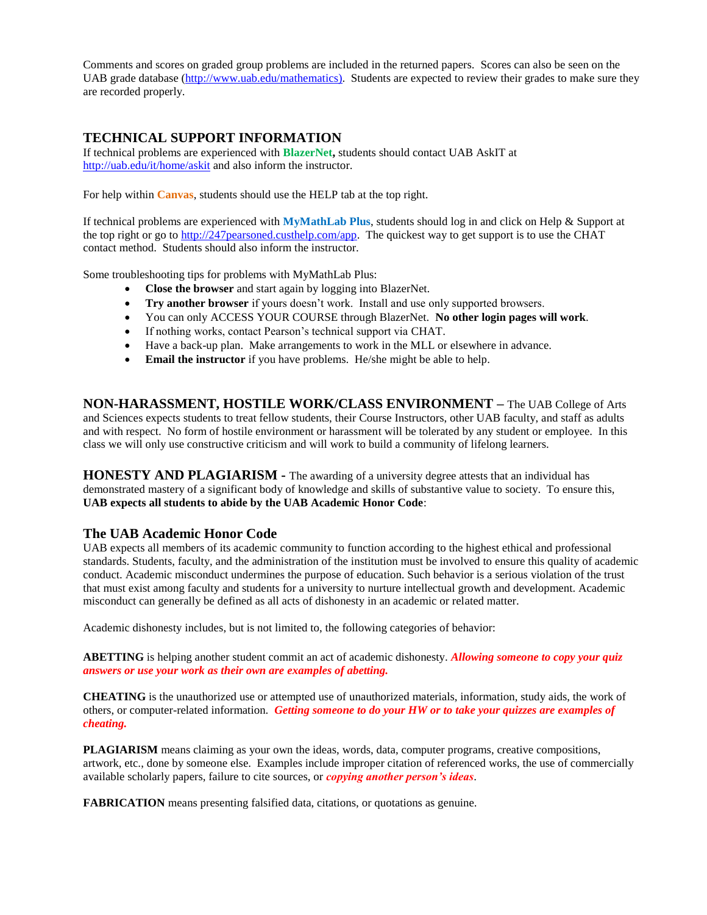Comments and scores on graded group problems are included in the returned papers. Scores can also be seen on the UAB grade database [\(http://www.uab.edu/mathematics\)](http://www.uab.edu/mathematics). Students are expected to review their grades to make sure they are recorded properly.

## **TECHNICAL SUPPORT INFORMATION**

If technical problems are experienced with **BlazerNet,** students should contact UAB AskIT at <http://uab.edu/it/home/askit> and also inform the instructor.

For help within **Canvas**, students should use the HELP tab at the top right.

If technical problems are experienced with **MyMathLab Plus**, students should log in and click on Help & Support at the top right or go to [http://247pearsoned.custhelp.com/app.](http://247pearsoned.custhelp.com/app) The quickest way to get support is to use the CHAT contact method. Students should also inform the instructor.

Some troubleshooting tips for problems with MyMathLab Plus:

- **Close the browser** and start again by logging into BlazerNet.
- **Try another browser** if yours doesn't work. Install and use only supported browsers.
- You can only ACCESS YOUR COURSE through BlazerNet. **No other login pages will work**.
- If nothing works, contact Pearson's technical support via CHAT.
- Have a back-up plan. Make arrangements to work in the MLL or elsewhere in advance.
- **Email the instructor** if you have problems. He/she might be able to help.

**NON-HARASSMENT, HOSTILE WORK/CLASS ENVIRONMENT –** The UAB College of Arts and Sciences expects students to treat fellow students, their Course Instructors, other UAB faculty, and staff as adults and with respect. No form of hostile environment or harassment will be tolerated by any student or employee. In this class we will only use constructive criticism and will work to build a community of lifelong learners.

**HONESTY AND PLAGIARISM -** The awarding of a university degree attests that an individual has demonstrated mastery of a significant body of knowledge and skills of substantive value to society. To ensure this, **UAB expects all students to abide by the UAB Academic Honor Code**:

## **The UAB Academic Honor Code**

UAB expects all members of its academic community to function according to the highest ethical and professional standards. Students, faculty, and the administration of the institution must be involved to ensure this quality of academic conduct. Academic misconduct undermines the purpose of education. Such behavior is a serious violation of the trust that must exist among faculty and students for a university to nurture intellectual growth and development. Academic misconduct can generally be defined as all acts of dishonesty in an academic or related matter.

Academic dishonesty includes, but is not limited to, the following categories of behavior:

**ABETTING** is helping another student commit an act of academic dishonesty. *Allowing someone to copy your quiz answers or use your work as their own are examples of abetting.*

**CHEATING** is the unauthorized use or attempted use of unauthorized materials, information, study aids, the work of others, or computer-related information. *Getting someone to do your HW or to take your quizzes are examples of cheating.*

**PLAGIARISM** means claiming as your own the ideas, words, data, computer programs, creative compositions, artwork, etc., done by someone else. Examples include improper citation of referenced works, the use of commercially available scholarly papers, failure to cite sources, or *copying another person's ideas*.

**FABRICATION** means presenting falsified data, citations, or quotations as genuine.